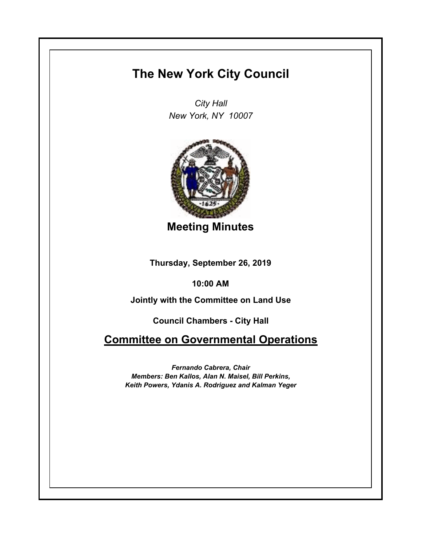## **The New York City Council**

*City Hall New York, NY 10007*



**Meeting Minutes**

**Thursday, September 26, 2019**

**10:00 AM**

**Jointly with the Committee on Land Use**

**Council Chambers - City Hall**

**Committee on Governmental Operations**

*Fernando Cabrera, Chair Members: Ben Kallos, Alan N. Maisel, Bill Perkins, Keith Powers, Ydanis A. Rodriguez and Kalman Yeger*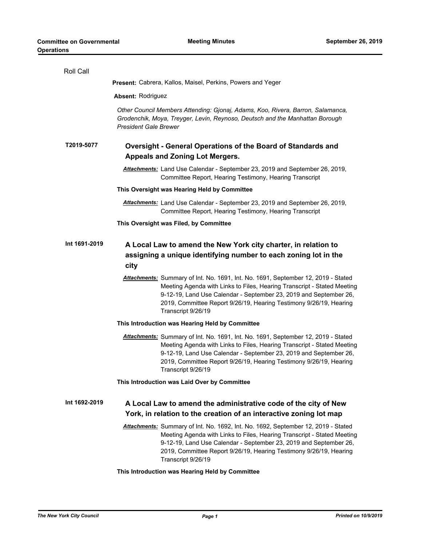| Roll Call     |                                                                                                                                                                                                                                                                                                                               |
|---------------|-------------------------------------------------------------------------------------------------------------------------------------------------------------------------------------------------------------------------------------------------------------------------------------------------------------------------------|
|               | <b>Present:</b> Cabrera, Kallos, Maisel, Perkins, Powers and Yeger                                                                                                                                                                                                                                                            |
|               | <b>Absent: Rodriguez</b>                                                                                                                                                                                                                                                                                                      |
|               | Other Council Members Attending: Gjonaj, Adams, Koo, Rivera, Barron, Salamanca,<br>Grodenchik, Moya, Treyger, Levin, Reynoso, Deutsch and the Manhattan Borough<br><b>President Gale Brewer</b>                                                                                                                               |
| T2019-5077    | Oversight - General Operations of the Board of Standards and                                                                                                                                                                                                                                                                  |
|               | <b>Appeals and Zoning Lot Mergers.</b>                                                                                                                                                                                                                                                                                        |
|               | Attachments: Land Use Calendar - September 23, 2019 and September 26, 2019,<br>Committee Report, Hearing Testimony, Hearing Transcript                                                                                                                                                                                        |
|               | This Oversight was Hearing Held by Committee                                                                                                                                                                                                                                                                                  |
|               | Attachments: Land Use Calendar - September 23, 2019 and September 26, 2019,<br>Committee Report, Hearing Testimony, Hearing Transcript                                                                                                                                                                                        |
|               | This Oversight was Filed, by Committee                                                                                                                                                                                                                                                                                        |
| Int 1691-2019 | A Local Law to amend the New York city charter, in relation to<br>assigning a unique identifying number to each zoning lot in the<br>city                                                                                                                                                                                     |
|               | Attachments: Summary of Int. No. 1691, Int. No. 1691, September 12, 2019 - Stated<br>Meeting Agenda with Links to Files, Hearing Transcript - Stated Meeting<br>9-12-19, Land Use Calendar - September 23, 2019 and September 26,<br>2019, Committee Report 9/26/19, Hearing Testimony 9/26/19, Hearing<br>Transcript 9/26/19 |
|               | This Introduction was Hearing Held by Committee                                                                                                                                                                                                                                                                               |
|               | Attachments: Summary of Int. No. 1691, Int. No. 1691, September 12, 2019 - Stated<br>Meeting Agenda with Links to Files, Hearing Transcript - Stated Meeting<br>9-12-19, Land Use Calendar - September 23, 2019 and September 26,<br>2019, Committee Report 9/26/19, Hearing Testimony 9/26/19, Hearing<br>Transcript 9/26/19 |
|               | This Introduction was Laid Over by Committee                                                                                                                                                                                                                                                                                  |
| Int 1692-2019 | A Local Law to amend the administrative code of the city of New<br>York, in relation to the creation of an interactive zoning lot map                                                                                                                                                                                         |
|               | Attachments: Summary of Int. No. 1692, Int. No. 1692, September 12, 2019 - Stated<br>Meeting Agenda with Links to Files, Hearing Transcript - Stated Meeting<br>9-12-19, Land Use Calendar - September 23, 2019 and September 26,<br>2019, Committee Report 9/26/19, Hearing Testimony 9/26/19, Hearing<br>Transcript 9/26/19 |

## **This Introduction was Hearing Held by Committee**